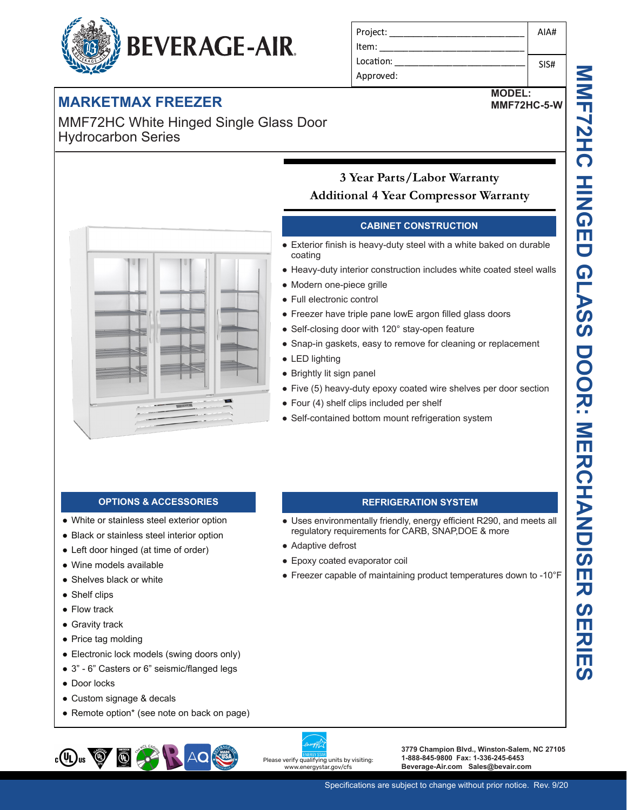#### Project: Item: Location: Approved: AIA# SIS#

# **MARKETMAX FREEZER**

MMF72HC White Hinged Single Glass Door Hydrocarbon Series

**BEVERAGE-AIR.** 



**MMF72HC HINGED GLASS DOOR: MERCHANDISER SERIES NAFIAL A HINGED GLASS DOOR: NERCHANDISER SERI**  $\overline{\mathsf{m}}$ 



## **3 Year Parts/Labor Warranty Additional 4 Year Compressor Warranty**

### **CABINET CONSTRUCTION**

- Exterior finish is heavy-duty steel with a white baked on durable coating
- Heavy-duty interior construction includes white coated steel walls
- Modern one-piece grille
- Full electronic control
- Freezer have triple pane lowE argon filled glass doors
- Self-closing door with 120° stay-open feature
- Snap-in gaskets, easy to remove for cleaning or replacement
- LED lighting
- Brightly lit sign panel

● Adaptive defrost

● Epoxy coated evaporator coil

● Five (5) heavy-duty epoxy coated wire shelves per door section

**REFRIGERATION SYSTEM** • Uses environmentally friendly, energy efficient R290, and meets all

● Freezer capable of maintaining product temperatures down to -10°F

regulatory requirements for CARB, SNAP,DOE & more

- Four (4) shelf clips included per shelf
- Self-contained bottom mount refrigeration system

#### **OPTIONS & ACCESSORIES**

- White or stainless steel exterior option
- Black or stainless steel interior option
- Left door hinged (at time of order)
- Wine models available
- Shelves black or white
- Shelf clips
- Flow track
- Gravity track
- Price tag molding
- Electronic lock models (swing doors only)
- 3" 6" Casters or 6" seismic/flanged legs
- Door locks
- Custom signage & decals
- Remote option\* (see note on back on page)



Please verify qualifying units by visiting: www.energystar.gov/cfs

**3779 Champion Blvd., Winston-Salem, NC 27105 1-888-845-9800 Fax: 1-336-245-6453 Beverage-Air.com Sales@bevair.com**